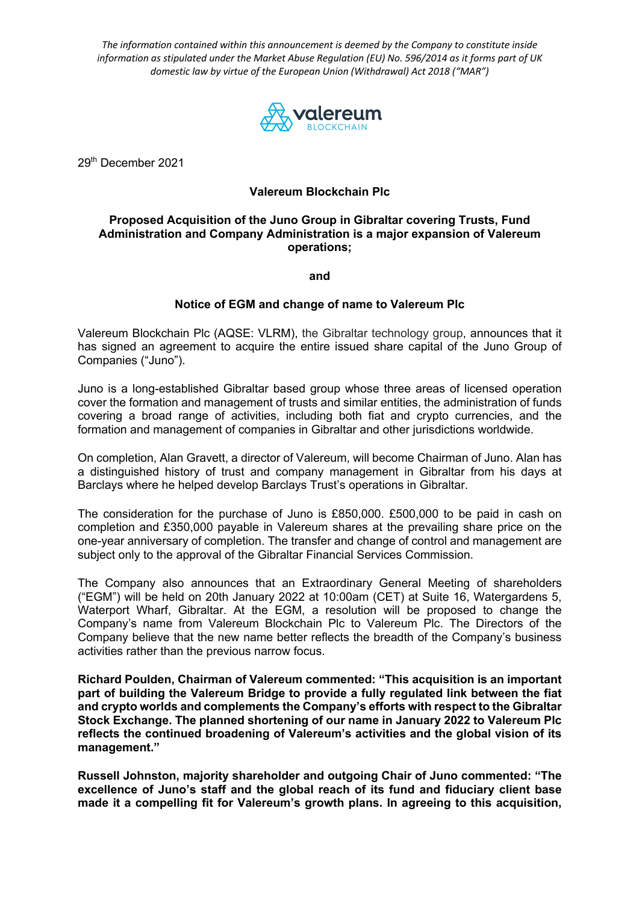*The information contained within this announcement is deemed by the Company to constitute inside information as stipulated under the Market Abuse Regulation (EU) No. 596/2014 as it forms part of UK domestic law by virtue of the European Union (Withdrawal) Act 2018 ("MAR")*



29th December 2021

## **Valereum Blockchain Plc**

## **Proposed Acquisition of the Juno Group in Gibraltar covering Trusts, Fund Administration and Company Administration is a major expansion of Valereum operations;**

**and**

## **Notice of EGM and change of name to Valereum Plc**

Valereum Blockchain Plc (AQSE: VLRM), the Gibraltar technology group, announces that it has signed an agreement to acquire the entire issued share capital of the Juno Group of Companies ("Juno").

Juno is a long-established Gibraltar based group whose three areas of licensed operation cover the formation and management of trusts and similar entities, the administration of funds covering a broad range of activities, including both fiat and crypto currencies, and the formation and management of companies in Gibraltar and other jurisdictions worldwide.

On completion, Alan Gravett, a director of Valereum, will become Chairman of Juno. Alan has a distinguished history of trust and company management in Gibraltar from his days at Barclays where he helped develop Barclays Trust's operations in Gibraltar.

The consideration for the purchase of Juno is £850,000. £500,000 to be paid in cash on completion and £350,000 payable in Valereum shares at the prevailing share price on the one-year anniversary of completion. The transfer and change of control and management are subject only to the approval of the Gibraltar Financial Services Commission.

The Company also announces that an Extraordinary General Meeting of shareholders ("EGM") will be held on 20th January 2022 at 10:00am (CET) at Suite 16, Watergardens 5, Waterport Wharf, Gibraltar. At the EGM, a resolution will be proposed to change the Company's name from Valereum Blockchain Plc to Valereum Plc. The Directors of the Company believe that the new name better reflects the breadth of the Company's business activities rather than the previous narrow focus.

**Richard Poulden, Chairman of Valereum commented: "This acquisition is an important part of building the Valereum Bridge to provide a fully regulated link between the fiat and crypto worlds and complements the Company's efforts with respect to the Gibraltar Stock Exchange. The planned shortening of our name in January 2022 to Valereum Plc reflects the continued broadening of Valereum's activities and the global vision of its management."**

**Russell Johnston, majority shareholder and outgoing Chair of Juno commented: "The excellence of Juno's staff and the global reach of its fund and fiduciary client base made it a compelling fit for Valereum's growth plans. In agreeing to this acquisition,**